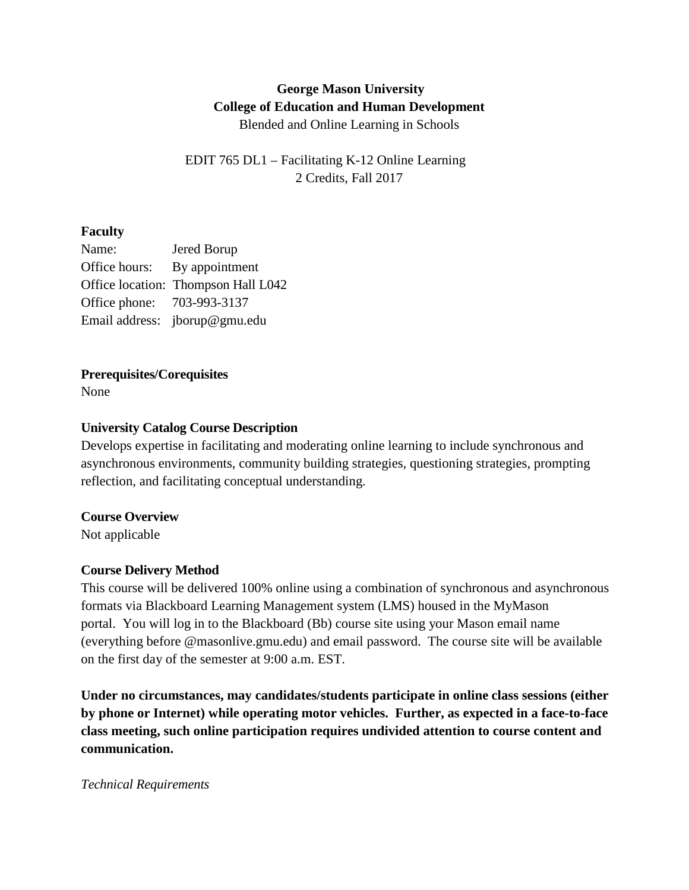# **George Mason University College of Education and Human Development** Blended and Online Learning in Schools

EDIT 765 DL1 – Facilitating K-12 Online Learning 2 Credits, Fall 2017

# **Faculty**

| Name:                      | Jered Borup                         |
|----------------------------|-------------------------------------|
| Office hours:              | By appointment                      |
|                            | Office location: Thompson Hall L042 |
| Office phone: 703-993-3137 |                                     |
|                            | Email address: jborup@gmu.edu       |

# **Prerequisites/Corequisites**

None

# **University Catalog Course Description**

Develops expertise in facilitating and moderating online learning to include synchronous and asynchronous environments, community building strategies, questioning strategies, prompting reflection, and facilitating conceptual understanding.

# **Course Overview**

Not applicable

# **Course Delivery Method**

This course will be delivered 100% online using a combination of synchronous and asynchronous formats via Blackboard Learning Management system (LMS) housed in the MyMason portal. You will log in to the Blackboard (Bb) course site using your Mason email name (everything before @masonlive.gmu.edu) and email password. The course site will be available on the first day of the semester at 9:00 a.m. EST.

**Under no circumstances, may candidates/students participate in online class sessions (either by phone or Internet) while operating motor vehicles. Further, as expected in a face-to-face class meeting, such online participation requires undivided attention to course content and communication.**

# *Technical Requirements*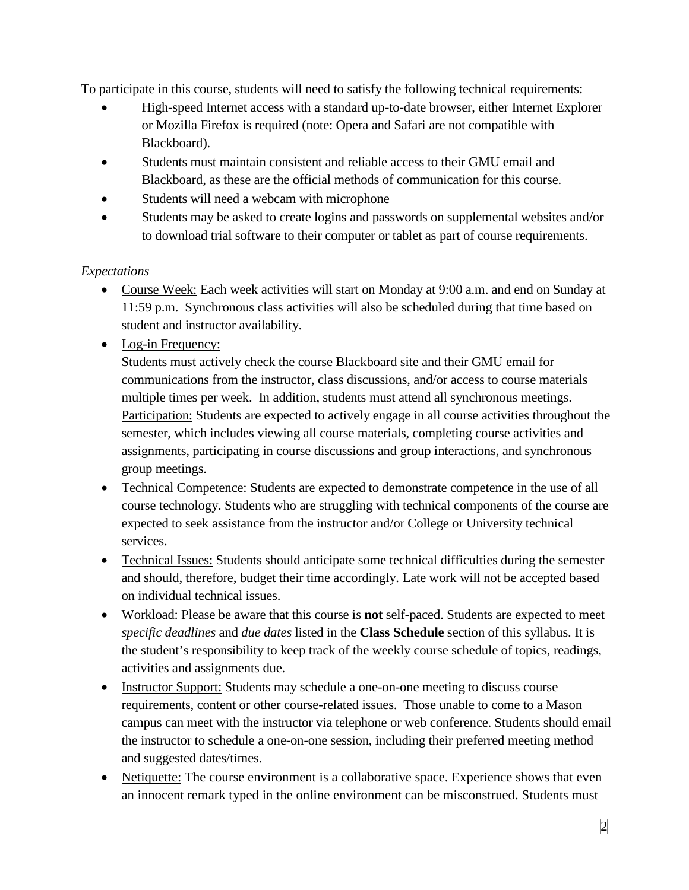To participate in this course, students will need to satisfy the following technical requirements:

- High-speed Internet access with a standard up-to-date browser, either Internet Explorer or Mozilla Firefox is required (note: Opera and Safari are not compatible with Blackboard).
- Students must maintain consistent and reliable access to their GMU email and Blackboard, as these are the official methods of communication for this course.
- Students will need a webcam with microphone
- Students may be asked to create logins and passwords on supplemental websites and/or to download trial software to their computer or tablet as part of course requirements.

# *Expectations*

- Course Week: Each week activities will start on Monday at 9:00 a.m. and end on Sunday at 11:59 p.m. Synchronous class activities will also be scheduled during that time based on student and instructor availability.
- Log-in Frequency:

Students must actively check the course Blackboard site and their GMU email for communications from the instructor, class discussions, and/or access to course materials multiple times per week. In addition, students must attend all synchronous meetings. Participation: Students are expected to actively engage in all course activities throughout the semester, which includes viewing all course materials, completing course activities and assignments, participating in course discussions and group interactions, and synchronous group meetings.

- Technical Competence: Students are expected to demonstrate competence in the use of all course technology. Students who are struggling with technical components of the course are expected to seek assistance from the instructor and/or College or University technical services.
- Technical Issues: Students should anticipate some technical difficulties during the semester and should, therefore, budget their time accordingly. Late work will not be accepted based on individual technical issues.
- Workload: Please be aware that this course is **not** self-paced. Students are expected to meet *specific deadlines* and *due dates* listed in the **Class Schedule** section of this syllabus. It is the student's responsibility to keep track of the weekly course schedule of topics, readings, activities and assignments due.
- Instructor Support: Students may schedule a one-on-one meeting to discuss course requirements, content or other course-related issues. Those unable to come to a Mason campus can meet with the instructor via telephone or web conference. Students should email the instructor to schedule a one-on-one session, including their preferred meeting method and suggested dates/times.
- Netiquette: The course environment is a collaborative space. Experience shows that even an innocent remark typed in the online environment can be misconstrued. Students must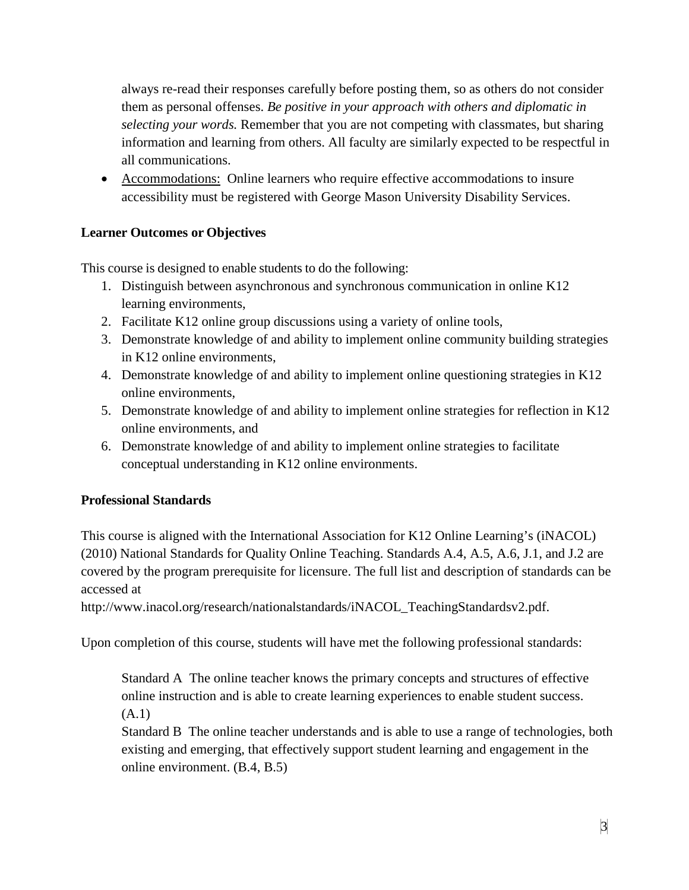always re-read their responses carefully before posting them, so as others do not consider them as personal offenses. *Be positive in your approach with others and diplomatic in selecting your words.* Remember that you are not competing with classmates, but sharing information and learning from others. All faculty are similarly expected to be respectful in all communications.

• Accommodations: Online learners who require effective accommodations to insure accessibility must be registered with George Mason University Disability Services.

# **Learner Outcomes or Objectives**

This course is designed to enable students to do the following:

- 1. Distinguish between asynchronous and synchronous communication in online K12 learning environments,
- 2. Facilitate K12 online group discussions using a variety of online tools,
- 3. Demonstrate knowledge of and ability to implement online community building strategies in K12 online environments,
- 4. Demonstrate knowledge of and ability to implement online questioning strategies in K12 online environments,
- 5. Demonstrate knowledge of and ability to implement online strategies for reflection in K12 online environments, and
- 6. Demonstrate knowledge of and ability to implement online strategies to facilitate conceptual understanding in K12 online environments.

# **Professional Standards**

This course is aligned with the International Association for K12 Online Learning's (iNACOL) (2010) National Standards for Quality Online Teaching. Standards A.4, A.5, A.6, J.1, and J.2 are covered by the program prerequisite for licensure. The full list and description of standards can be accessed at

http://www.inacol.org/research/nationalstandards/iNACOL\_TeachingStandardsv2.pdf.

Upon completion of this course, students will have met the following professional standards:

Standard A The online teacher knows the primary concepts and structures of effective online instruction and is able to create learning experiences to enable student success. (A.1)

Standard B The online teacher understands and is able to use a range of technologies, both existing and emerging, that effectively support student learning and engagement in the online environment. (B.4, B.5)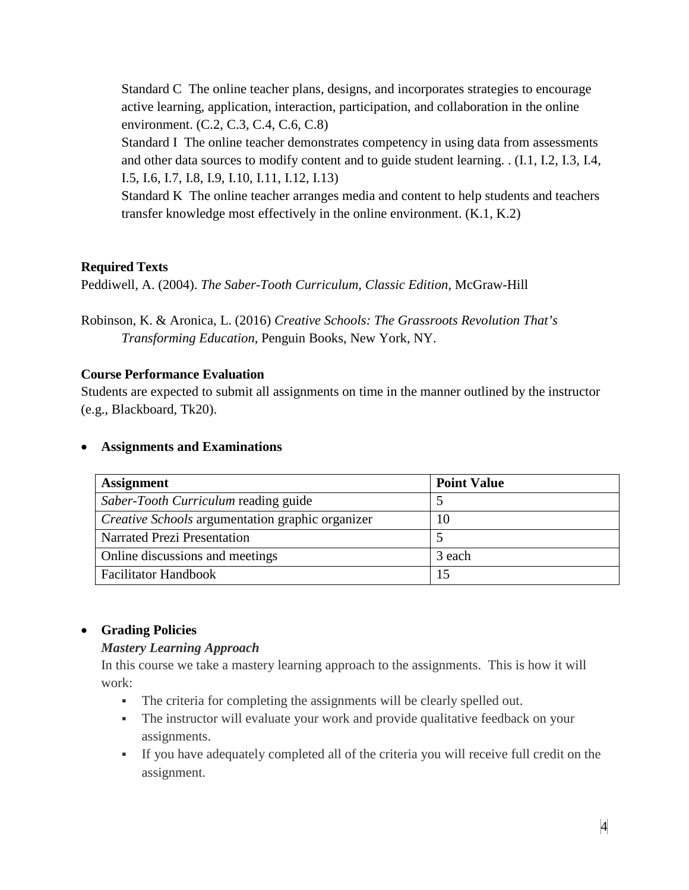Standard C The online teacher plans, designs, and incorporates strategies to encourage active learning, application, interaction, participation, and collaboration in the online environment. (C.2, C.3, C.4, C.6, C.8)

Standard I The online teacher demonstrates competency in using data from assessments and other data sources to modify content and to guide student learning. . (I.1, I.2, I.3, I.4, I.5, I.6, I.7, I.8, I.9, I.10, I.11, I.12, I.13)

Standard K The online teacher arranges media and content to help students and teachers transfer knowledge most effectively in the online environment. (K.1, K.2)

# **Required Texts**

Peddiwell, A. (2004). *The Saber-Tooth Curriculum, Classic Edition*, McGraw-Hill

Robinson, K. & Aronica, L. (2016) *Creative Schools: The Grassroots Revolution That's Transforming Education*, Penguin Books, New York, NY.

# **Course Performance Evaluation**

Students are expected to submit all assignments on time in the manner outlined by the instructor (e.g., Blackboard, Tk20).

#### • **Assignments and Examinations**

| <b>Assignment</b>                                       | <b>Point Value</b> |
|---------------------------------------------------------|--------------------|
| Saber-Tooth Curriculum reading guide                    |                    |
| <i>Creative Schools</i> argumentation graphic organizer | 10                 |
| Narrated Prezi Presentation                             |                    |
| Online discussions and meetings                         | 3 each             |
| <b>Facilitator Handbook</b>                             |                    |

# • **Grading Policies**

# *Mastery Learning Approach*

In this course we take a mastery learning approach to the assignments. This is how it will work:

- The criteria for completing the assignments will be clearly spelled out.
- The instructor will evaluate your work and provide qualitative feedback on your assignments.
- If you have adequately completed all of the criteria you will receive full credit on the assignment.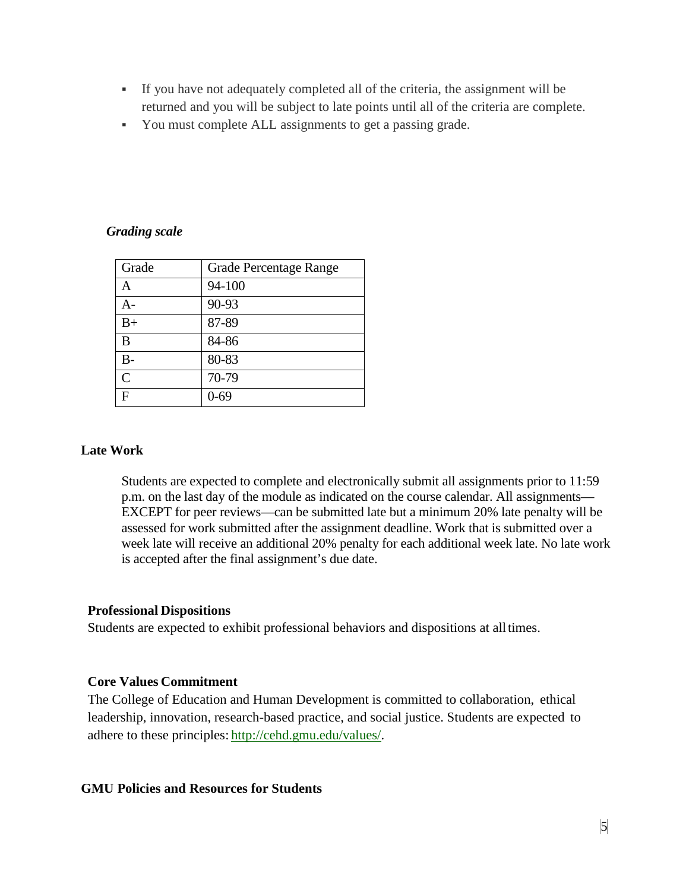- If you have not adequately completed all of the criteria, the assignment will be returned and you will be subject to late points until all of the criteria are complete.
- You must complete ALL assignments to get a passing grade.

#### *Grading scale*

| Grade        | <b>Grade Percentage Range</b> |
|--------------|-------------------------------|
|              | 94-100                        |
| А-           | 90-93                         |
| $B+$         | 87-89                         |
| B            | 84-86                         |
| B-           | 80-83                         |
| $\mathsf{C}$ | 70-79                         |
|              | 0-69                          |

#### **Late Work**

Students are expected to complete and electronically submit all assignments prior to 11:59 p.m. on the last day of the module as indicated on the course calendar. All assignments— EXCEPT for peer reviews—can be submitted late but a minimum 20% late penalty will be assessed for work submitted after the assignment deadline. Work that is submitted over a week late will receive an additional 20% penalty for each additional week late. No late work is accepted after the final assignment's due date.

#### **Professional Dispositions**

Students are expected to exhibit professional behaviors and dispositions at alltimes.

# **Core Values Commitment**

The College of Education and Human Development is committed to collaboration, ethical leadership, innovation, research-based practice, and social justice. Students are expected to adhere to these principles: [http://cehd.gmu.edu/values/.](http://cehd.gmu.edu/values/)

#### **GMU Policies and Resources for Students**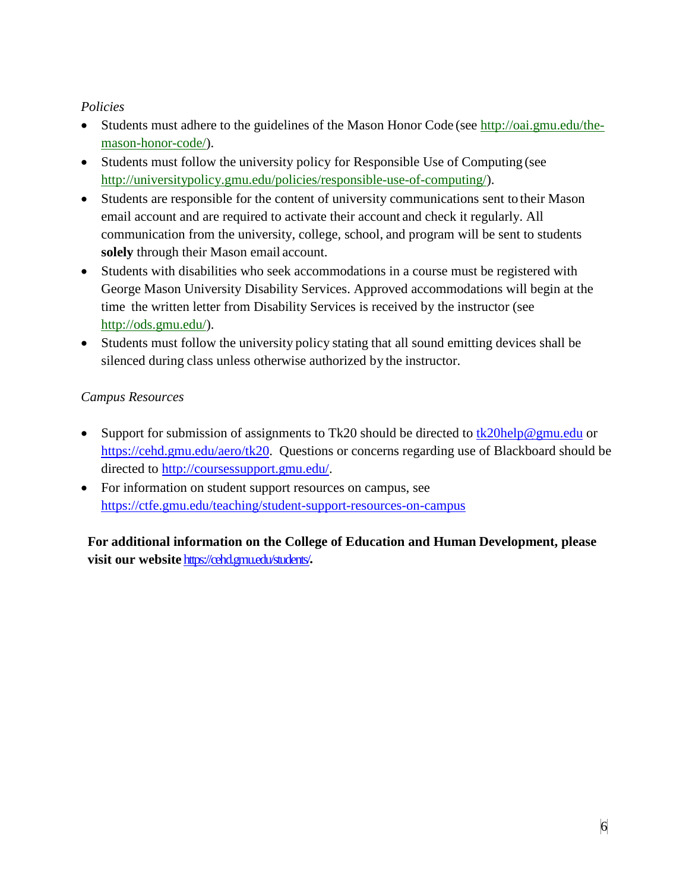# *Policies*

- Students must adhere to the guidelines of the Mason Honor Code (see [http://oai.gmu.edu/the](http://oai.gmu.edu/the-mason-honor-code/)[mason-honor-code/\)](http://oai.gmu.edu/the-mason-honor-code/).
- Students must follow the university policy for Responsible Use of Computing (see [http://universitypolicy.gmu.edu/policies/responsible-use-of-computing/\)](http://universitypolicy.gmu.edu/policies/responsible-use-of-computing/).
- Students are responsible for the content of university communications sent to their Mason email account and are required to activate their account and check it regularly. All communication from the university, college, school, and program will be sent to students **solely** through their Mason email account.
- Students with disabilities who seek accommodations in a course must be registered with George Mason University Disability Services. Approved accommodations will begin at the time the written letter from Disability Services is received by the instructor (see [http://ods.gmu.edu/\)](http://ods.gmu.edu/).
- Students must follow the university policy stating that all sound emitting devices shall be silenced during class unless otherwise authorized by the instructor.

# *Campus Resources*

- Support for submission of assignments to Tk20 should be directed to [tk20help@gmu.edu](mailto:tk20help@gmu.edu) or [https://cehd.gmu.edu/aero/tk20.](https://cehd.gmu.edu/aero/tk20) Questions or concerns regarding use of Blackboard should be directed to [http://coursessupport.gmu.edu/.](http://coursessupport.gmu.edu/)
- For information on student support resources on campus, see <https://ctfe.gmu.edu/teaching/student-support-resources-on-campus>

**For additional information on the College of Education and Human Development, please visit our website** <https://cehd.gmu.edu/students/>**.**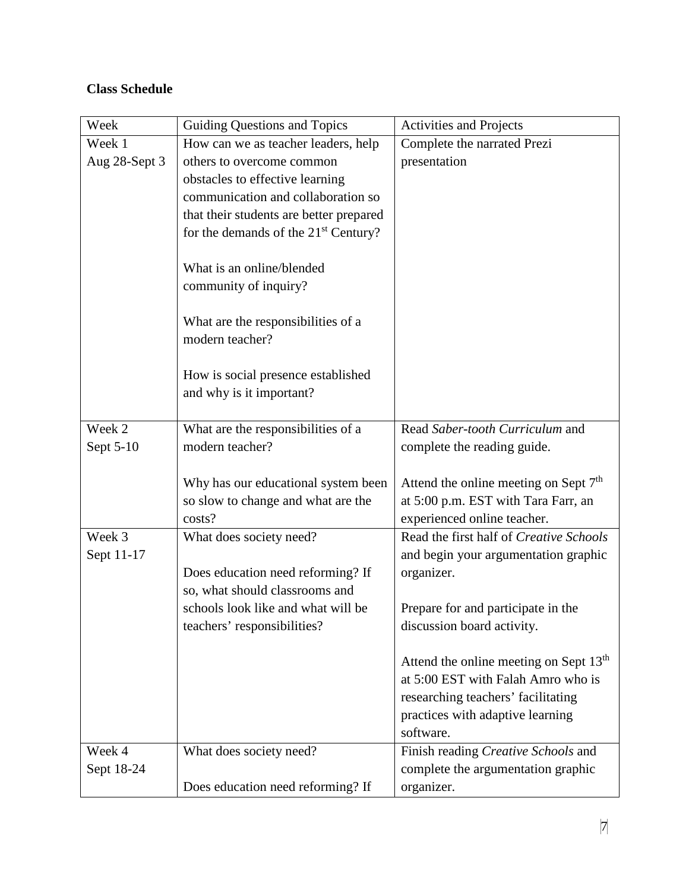# **Class Schedule**

| Week          | Guiding Questions and Topics                          | <b>Activities and Projects</b>                     |  |
|---------------|-------------------------------------------------------|----------------------------------------------------|--|
| Week 1        | How can we as teacher leaders, help                   | Complete the narrated Prezi                        |  |
| Aug 28-Sept 3 | others to overcome common                             | presentation                                       |  |
|               | obstacles to effective learning                       |                                                    |  |
|               | communication and collaboration so                    |                                                    |  |
|               | that their students are better prepared               |                                                    |  |
|               | for the demands of the 21 <sup>st</sup> Century?      |                                                    |  |
|               |                                                       |                                                    |  |
|               | What is an online/blended                             |                                                    |  |
|               | community of inquiry?                                 |                                                    |  |
|               |                                                       |                                                    |  |
|               | What are the responsibilities of a<br>modern teacher? |                                                    |  |
|               |                                                       |                                                    |  |
|               | How is social presence established                    |                                                    |  |
|               | and why is it important?                              |                                                    |  |
|               |                                                       |                                                    |  |
| Week 2        | What are the responsibilities of a                    | Read Saber-tooth Curriculum and                    |  |
| Sept 5-10     | modern teacher?                                       | complete the reading guide.                        |  |
|               |                                                       |                                                    |  |
|               | Why has our educational system been                   | Attend the online meeting on Sept 7 <sup>th</sup>  |  |
|               | so slow to change and what are the                    | at 5:00 p.m. EST with Tara Farr, an                |  |
|               | costs?                                                | experienced online teacher.                        |  |
| Week 3        | What does society need?                               | Read the first half of Creative Schools            |  |
| Sept 11-17    |                                                       | and begin your argumentation graphic               |  |
|               | Does education need reforming? If                     | organizer.                                         |  |
|               | so, what should classrooms and                        |                                                    |  |
|               | schools look like and what will be                    | Prepare for and participate in the                 |  |
|               | teachers' responsibilities?                           | discussion board activity.                         |  |
|               |                                                       | Attend the online meeting on Sept 13 <sup>th</sup> |  |
|               |                                                       | at 5:00 EST with Falah Amro who is                 |  |
|               |                                                       | researching teachers' facilitating                 |  |
|               |                                                       | practices with adaptive learning                   |  |
|               |                                                       | software.                                          |  |
| Week 4        | What does society need?                               | Finish reading Creative Schools and                |  |
| Sept 18-24    |                                                       | complete the argumentation graphic                 |  |
|               | Does education need reforming? If                     | organizer.                                         |  |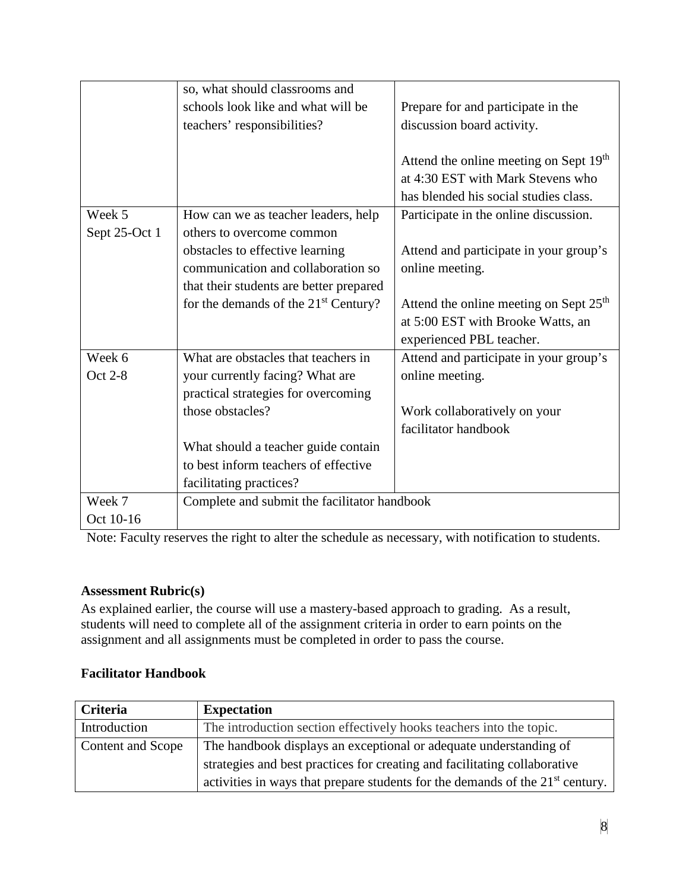|               | so, what should classrooms and               |                                                    |  |
|---------------|----------------------------------------------|----------------------------------------------------|--|
|               | schools look like and what will be           | Prepare for and participate in the                 |  |
|               | teachers' responsibilities?                  | discussion board activity.                         |  |
|               |                                              |                                                    |  |
|               |                                              | Attend the online meeting on Sept 19 <sup>th</sup> |  |
|               |                                              | at 4:30 EST with Mark Stevens who                  |  |
|               |                                              | has blended his social studies class.              |  |
| Week 5        | How can we as teacher leaders, help          | Participate in the online discussion.              |  |
| Sept 25-Oct 1 | others to overcome common                    |                                                    |  |
|               | obstacles to effective learning              | Attend and participate in your group's             |  |
|               | communication and collaboration so           | online meeting.                                    |  |
|               | that their students are better prepared      |                                                    |  |
|               | for the demands of the $21st$ Century?       | Attend the online meeting on Sept 25 <sup>th</sup> |  |
|               |                                              | at 5:00 EST with Brooke Watts, an                  |  |
|               |                                              | experienced PBL teacher.                           |  |
| Week 6        | What are obstacles that teachers in          | Attend and participate in your group's             |  |
| Oct 2-8       | your currently facing? What are              | online meeting.                                    |  |
|               | practical strategies for overcoming          |                                                    |  |
|               | those obstacles?                             | Work collaboratively on your                       |  |
|               |                                              | facilitator handbook                               |  |
|               | What should a teacher guide contain          |                                                    |  |
|               | to best inform teachers of effective         |                                                    |  |
|               | facilitating practices?                      |                                                    |  |
| Week 7        | Complete and submit the facilitator handbook |                                                    |  |
| Oct 10-16     |                                              |                                                    |  |

Note: Faculty reserves the right to alter the schedule as necessary, with notification to students.

# **Assessment Rubric(s)**

As explained earlier, the course will use a mastery-based approach to grading. As a result, students will need to complete all of the assignment criteria in order to earn points on the assignment and all assignments must be completed in order to pass the course.

# **Facilitator Handbook**

| Criteria          | <b>Expectation</b>                                                              |  |
|-------------------|---------------------------------------------------------------------------------|--|
| Introduction      | The introduction section effectively hooks teachers into the topic.             |  |
| Content and Scope | The handbook displays an exceptional or adequate understanding of               |  |
|                   | strategies and best practices for creating and facilitating collaborative       |  |
|                   | activities in ways that prepare students for the demands of the $21st$ century. |  |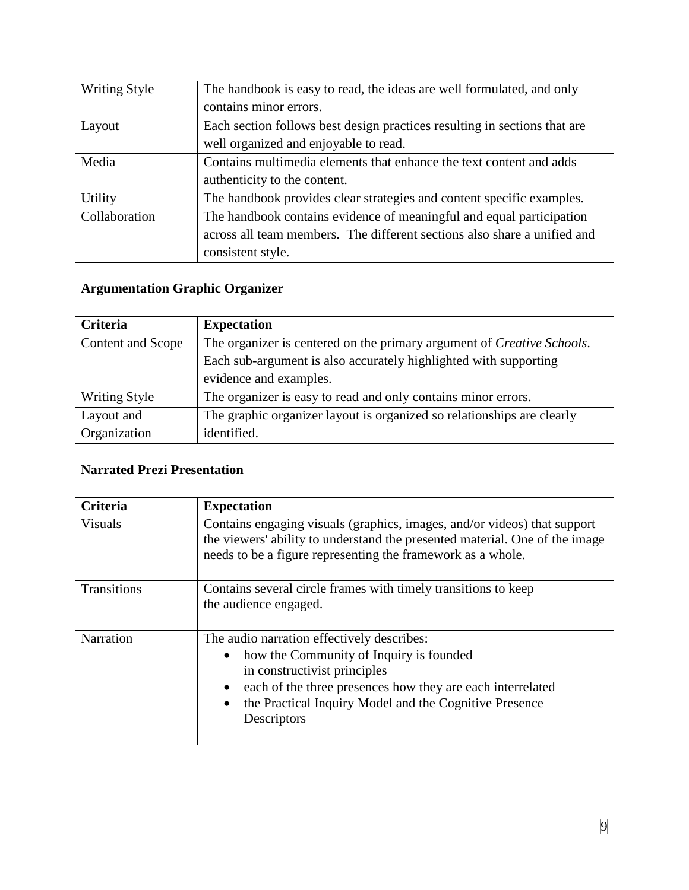| <b>Writing Style</b> | The handbook is easy to read, the ideas are well formulated, and only     |  |
|----------------------|---------------------------------------------------------------------------|--|
|                      | contains minor errors.                                                    |  |
| Layout               | Each section follows best design practices resulting in sections that are |  |
|                      | well organized and enjoyable to read.                                     |  |
| Media                | Contains multimedia elements that enhance the text content and adds       |  |
|                      | authenticity to the content.                                              |  |
| Utility              | The handbook provides clear strategies and content specific examples.     |  |
| Collaboration        | The handbook contains evidence of meaningful and equal participation      |  |
|                      | across all team members. The different sections also share a unified and  |  |
|                      | consistent style.                                                         |  |

# **Argumentation Graphic Organizer**

| <b>Criteria</b>      | <b>Expectation</b>                                                     |  |
|----------------------|------------------------------------------------------------------------|--|
| Content and Scope    | The organizer is centered on the primary argument of Creative Schools. |  |
|                      | Each sub-argument is also accurately highlighted with supporting       |  |
|                      | evidence and examples.                                                 |  |
| <b>Writing Style</b> | The organizer is easy to read and only contains minor errors.          |  |
| Layout and           | The graphic organizer layout is organized so relationships are clearly |  |
| Organization         | identified.                                                            |  |

# **Narrated Prezi Presentation**

| <b>Criteria</b> | <b>Expectation</b>                                                                                                                                                                                                                                           |  |
|-----------------|--------------------------------------------------------------------------------------------------------------------------------------------------------------------------------------------------------------------------------------------------------------|--|
| <b>Visuals</b>  | Contains engaging visuals (graphics, images, and/or videos) that support<br>the viewers' ability to understand the presented material. One of the image<br>needs to be a figure representing the framework as a whole.                                       |  |
| Transitions     | Contains several circle frames with timely transitions to keep<br>the audience engaged.                                                                                                                                                                      |  |
| Narration       | The audio narration effectively describes:<br>how the Community of Inquiry is founded<br>in constructivist principles<br>each of the three presences how they are each interrelated<br>the Practical Inquiry Model and the Cognitive Presence<br>Descriptors |  |